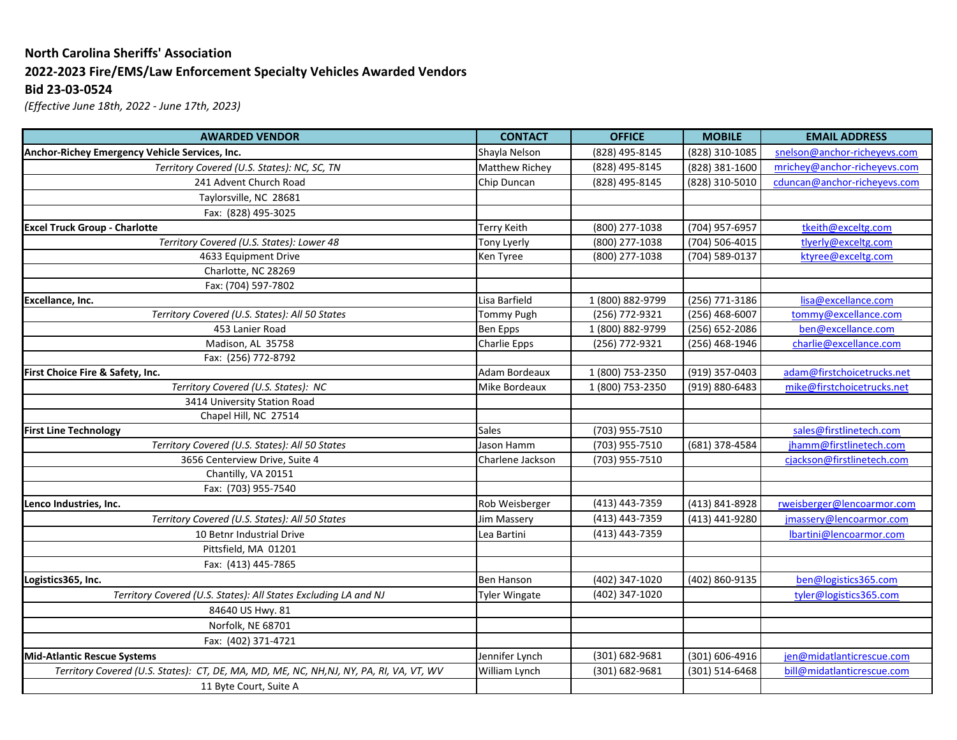## **North Carolina Sheriffs' Association 2022-2023 Fire/EMS/Law Enforcement Specialty Vehicles Awarded Vendors Bid 23-03-0524**

*(Effective June 18th, 2022 - June 17th, 2023)*

| <b>AWARDED VENDOR</b>                                                                  | <b>CONTACT</b>      | <b>OFFICE</b>    | <b>MOBILE</b>  | <b>EMAIL ADDRESS</b>         |
|----------------------------------------------------------------------------------------|---------------------|------------------|----------------|------------------------------|
| Anchor-Richey Emergency Vehicle Services, Inc.                                         | Shayla Nelson       | (828) 495-8145   | (828) 310-1085 | snelson@anchor-richeyevs.com |
| Territory Covered (U.S. States): NC, SC, TN                                            | Matthew Richey      | (828) 495-8145   | (828) 381-1600 | mrichey@anchor-richeyevs.com |
| 241 Advent Church Road                                                                 | Chip Duncan         | (828) 495-8145   | (828) 310-5010 | cduncan@anchor-richeyevs.com |
| Taylorsville, NC 28681                                                                 |                     |                  |                |                              |
| Fax: (828) 495-3025                                                                    |                     |                  |                |                              |
| <b>Excel Truck Group - Charlotte</b>                                                   | Terry Keith         | (800) 277-1038   | (704) 957-6957 | tkeith@exceltg.com           |
| Territory Covered (U.S. States): Lower 48                                              | Tony Lyerly         | (800) 277-1038   | (704) 506-4015 | tlyerly@exceltg.com          |
| 4633 Equipment Drive                                                                   | Ken Tyree           | (800) 277-1038   | (704) 589-0137 | ktyree@exceltg.com           |
| Charlotte, NC 28269                                                                    |                     |                  |                |                              |
| Fax: (704) 597-7802                                                                    |                     |                  |                |                              |
| Excellance, Inc.                                                                       | Lisa Barfield       | 1 (800) 882-9799 | (256) 771-3186 | lisa@excellance.com          |
| Territory Covered (U.S. States): All 50 States                                         | <b>Tommy Pugh</b>   | (256) 772-9321   | (256) 468-6007 | tommy@excellance.com         |
| 453 Lanier Road                                                                        | Ben Epps            | 1 (800) 882-9799 | (256) 652-2086 | ben@excellance.com           |
| Madison, AL 35758                                                                      | <b>Charlie Epps</b> | (256) 772-9321   | (256) 468-1946 | charlie@excellance.com       |
| Fax: (256) 772-8792                                                                    |                     |                  |                |                              |
| First Choice Fire & Safety, Inc.                                                       | Adam Bordeaux       | 1 (800) 753-2350 | (919) 357-0403 | adam@firstchoicetrucks.net   |
| Territory Covered (U.S. States): NC                                                    | Mike Bordeaux       | 1 (800) 753-2350 | (919) 880-6483 | mike@firstchoicetrucks.net   |
| 3414 University Station Road                                                           |                     |                  |                |                              |
| Chapel Hill, NC 27514                                                                  |                     |                  |                |                              |
| <b>First Line Technology</b>                                                           | <b>Sales</b>        | (703) 955-7510   |                | sales@firstlinetech.com      |
| Territory Covered (U.S. States): All 50 States                                         | Jason Hamm          | (703) 955-7510   | (681) 378-4584 | jhamm@firstlinetech.com      |
| 3656 Centerview Drive, Suite 4                                                         | Charlene Jackson    | (703) 955-7510   |                | cjackson@firstlinetech.com   |
| Chantilly, VA 20151                                                                    |                     |                  |                |                              |
| Fax: (703) 955-7540                                                                    |                     |                  |                |                              |
| Lenco Industries, Inc.                                                                 | Rob Weisberger      | (413) 443-7359   | (413) 841-8928 | rweisberger@lencoarmor.com   |
| Territory Covered (U.S. States): All 50 States                                         | Jim Massery         | (413) 443-7359   | (413) 441-9280 | jmassery@lencoarmor.com      |
| 10 Betnr Industrial Drive                                                              | Lea Bartini         | (413) 443-7359   |                | lbartini@lencoarmor.com      |
| Pittsfield, MA 01201                                                                   |                     |                  |                |                              |
| Fax: (413) 445-7865                                                                    |                     |                  |                |                              |
| Logistics365, Inc.                                                                     | <b>Ben Hanson</b>   | (402) 347-1020   | (402) 860-9135 | ben@logistics365.com         |
| Territory Covered (U.S. States): All States Excluding LA and NJ                        | Tyler Wingate       | (402) 347-1020   |                | tyler@logistics365.com       |
| 84640 US Hwy. 81                                                                       |                     |                  |                |                              |
| Norfolk, NE 68701                                                                      |                     |                  |                |                              |
| Fax: (402) 371-4721                                                                    |                     |                  |                |                              |
| <b>Mid-Atlantic Rescue Systems</b>                                                     | Jennifer Lynch      | (301) 682-9681   | (301) 606-4916 | jen@midatlanticrescue.com    |
| Territory Covered (U.S. States): CT, DE, MA, MD, ME, NC, NH,NJ, NY, PA, RI, VA, VT, WV | William Lynch       | (301) 682-9681   | (301) 514-6468 | bill@midatlanticrescue.com   |
| 11 Byte Court, Suite A                                                                 |                     |                  |                |                              |